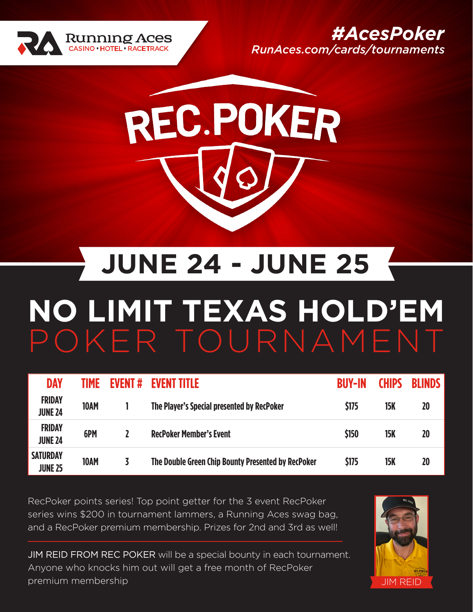





# **JUNE 24 - JUNE 25**

## **NO LIMIT TEXAS HOLD'EM** POKER TOURNAMENT

| <b>DAY</b>                        | TIME | <b>EVENT#</b> | <b>FVENT TITLE</b>                                 | <b>BUY-IN</b> | <b>CHIPS</b> | <b>BLINDS</b> |
|-----------------------------------|------|---------------|----------------------------------------------------|---------------|--------------|---------------|
| <b>FRIDAY</b><br><b>JUNE 24</b>   | 10AM |               | The Player's Special presented by RecPoker         | \$175         | <b>15K</b>   | 20            |
| <b>FRIDAY</b><br><b>JUNE 24</b>   | 6PM  |               | <b>RecPoker Member's Event</b>                     | <b>\$150</b>  | <b>15K</b>   | 20            |
| <b>SATURDAY</b><br><b>JUNE 25</b> | 10AM |               | The Double Green Chip Bounty Presented by RecPoker | <b>\$175</b>  | <b>15K</b>   | 20            |

RecPoker points series! Top point getter for the 3 event RecPoker series wins \$200 in tournament lammers, a Running Aces swag bag, and a RecPoker premium membership. Prizes for 2nd and 3rd as well!

JIM REID FROM REC POKER will be a special bounty in each tournament. Anyone who knocks him out will get a free month of RecPoker premium membership JIM REID Annual Annual Annual Annual Annual Annual Annual Annual Annual Annual Annual Annu